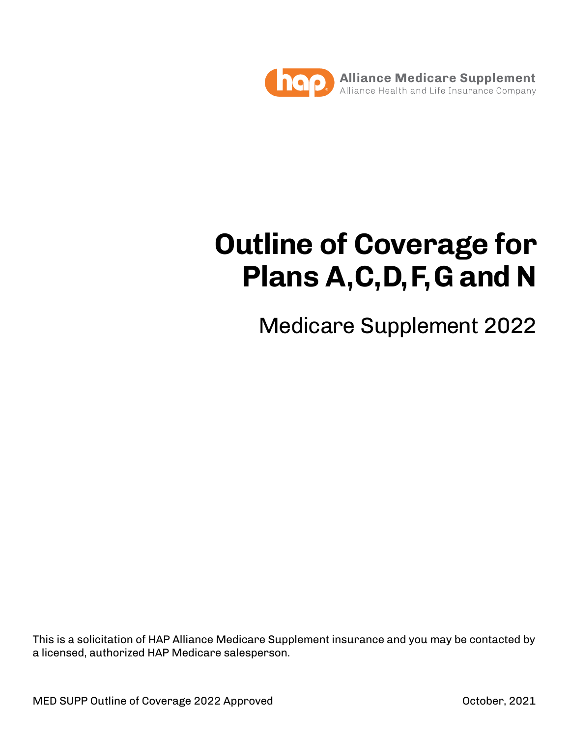

# **Outline of Coverage for Plans A, C, D, F, G and N**

Medicare Supplement 2022

This is a solicitation of HAP Alliance Medicare Supplement insurance and you may be contacted by a licensed, authorized HAP Medicare salesperson.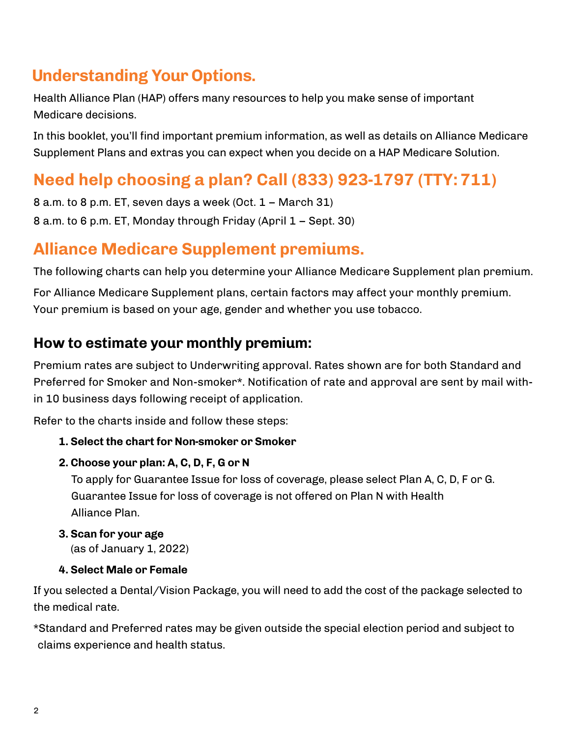# **Understanding Your Options.**

Health Alliance Plan (HAP) offers many resources to help you make sense of important Medicare decisions.

In this booklet, you'll find important premium information, as well as details on Alliance Medicare Supplement Plans and extras you can expect when you decide on a HAP Medicare Solution.

# **Need help choosing a plan? Call (833) 923-1797 (TTY: 711)**

8 a.m. to 8 p.m. ET, seven days a week (Oct. 1 – March 31) 8 a.m. to 6 p.m. ET, Monday through Friday (April 1 – Sept. 30)

# **Alliance Medicare Supplement premiums.**

The following charts can help you determine your Alliance Medicare Supplement plan premium.

For Alliance Medicare Supplement plans, certain factors may affect your monthly premium. Your premium is based on your age, gender and whether you use tobacco.

#### **How to estimate your monthly premium:**

Premium rates are subject to Underwriting approval. Rates shown are for both Standard and Preferred for Smoker and Non-smoker\*. Notification of rate and approval are sent by mail within 10 business days following receipt of application.

Refer to the charts inside and follow these steps:

#### **1. Select the chart for Non-smoker or Smoker**

#### **2. Choose your plan: A, C, D, F, G or N**

To apply for Guarantee Issue for loss of coverage, please select Plan A, C, D, F or G. Guarantee Issue for loss of coverage is not offered on Plan N with Health Alliance Plan.

#### **3. Scan for your age**

(as of January 1, 2022)

#### **4. Select Male or Female**

If you selected a Dental/Vision Package, you will need to add the cost of the package selected to the medical rate.

\*Standard and Preferred rates may be given outside the special election period and subject to claims experience and health status.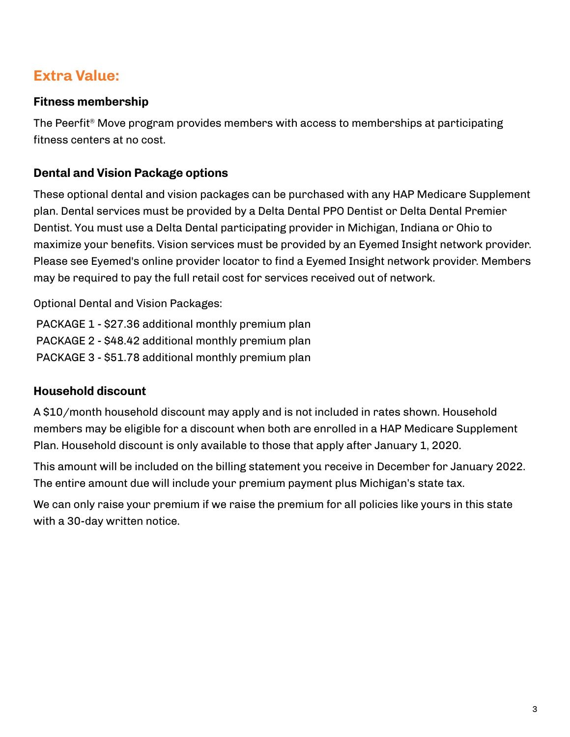## **Extra Value:**

#### **Fitness membership**

The Peerfit® Move program provides members with access to memberships at participating fitness centers at no cost.

#### **Dental and Vision Package options**

These optional dental and vision packages can be purchased with any HAP Medicare Supplement plan. Dental services must be provided by a Delta Dental PPO Dentist or Delta Dental Premier Dentist. You must use a Delta Dental participating provider in Michigan, Indiana or Ohio to maximize your benefits. Vision services must be provided by an Eyemed Insight network provider. Please see Eyemed's online provider locator to find a Eyemed Insight network provider. Members may be required to pay the full retail cost for services received out of network.

Optional Dental and Vision Packages:

 PACKAGE 1 - \$27.36 additional monthly premium plan PACKAGE 2 - \$48.42 additional monthly premium plan PACKAGE 3 - \$51.78 additional monthly premium plan

#### **Household discount**

A \$10/month household discount may apply and is not included in rates shown. Household members may be eligible for a discount when both are enrolled in a HAP Medicare Supplement Plan. Household discount is only available to those that apply after January 1, 2020.

This amount will be included on the billing statement you receive in December for January 2022. The entire amount due will include your premium payment plus Michigan's state tax.

We can only raise your premium if we raise the premium for all policies like yours in this state with a 30-day written notice.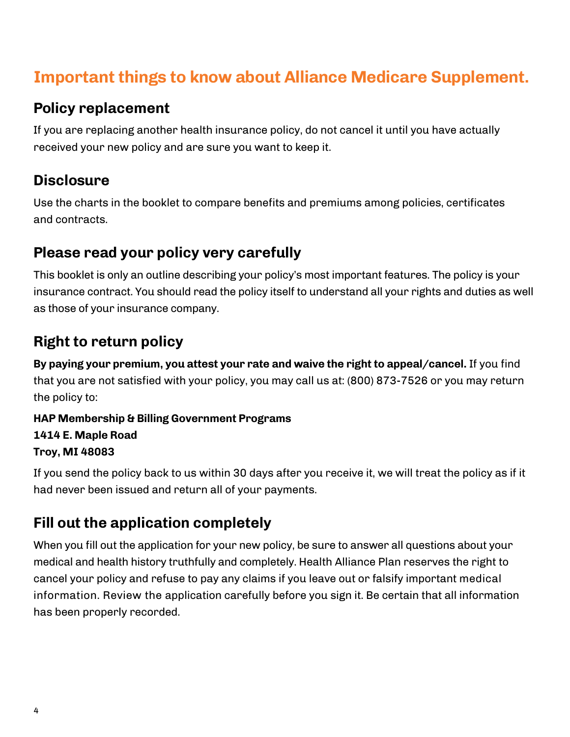# **Important things to know about Alliance Medicare Supplement.**

#### **Policy replacement**

If you are replacing another health insurance policy, do not cancel it until you have actually received your new policy and are sure you want to keep it.

## **Disclosure**

Use the charts in the booklet to compare benefits and premiums among policies, certificates and contracts.

## **Please read your policy very carefully**

This booklet is only an outline describing your policy's most important features. The policy is your insurance contract. You should read the policy itself to understand all your rights and duties as well as those of your insurance company.

# **Right to return policy**

**By paying your premium, you attest your rate and waive the right to appeal/cancel.** If you find that you are not satisfied with your policy, you may call us at: (800) 873-7526 or you may return the policy to:

**HAP Membership & Billing Government Programs 1414 E. Maple Road Troy, MI 48083**

If you send the policy back to us within 30 days after you receive it, we will treat the policy as if it had never been issued and return all of your payments.

## **Fill out the application completely**

When you fill out the application for your new policy, be sure to answer all questions about your medical and health history truthfully and completely. Health Alliance Plan reserves the right to cancel your policy and refuse to pay any claims if you leave out or falsify important medical information. Review the application carefully before you sign it. Be certain that all information has been properly recorded.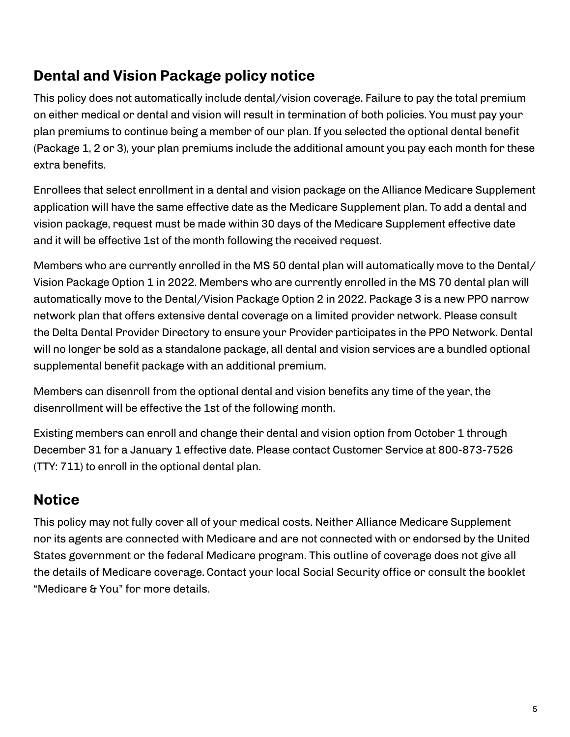## **Dental and Vision Package policy notice**

This policy does not automatically include dental/vision coverage. Failure to pay the total premium on either medical or dental and vision will result in termination of both policies. You must pay your plan premiums to continue being a member of our plan. If you selected the optional dental benefit (Package 1, 2 or 3), your plan premiums include the additional amount you pay each month for these extra benefits.

Enrollees that select enrollment in a dental and vision package on the Alliance Medicare Supplement application will have the same effective date as the Medicare Supplement plan. To add a dental and vision package, request must be made within 30 days of the Medicare Supplement effective date and it will be effective 1st of the month following the received request.

Members who are currently enrolled in the MS 50 dental plan will automatically move to the Dental/ Vision Package Option 1 in 2022. Members who are currently enrolled in the MS 70 dental plan will automatically move to the Dental/Vision Package Option 2 in 2022. Package 3 is a new PPO narrow network plan that offers extensive dental coverage on a limited provider network. Please consult the Delta Dental Provider Directory to ensure your Provider participates in the PPO Network. Dental will no longer be sold as a standalone package, all dental and vision services are a bundled optional supplemental benefit package with an additional premium.

Members can disenroll from the optional dental and vision benefits any time of the year, the disenrollment will be effective the 1st of the following month.

Existing members can enroll and change their dental and vision option from October 1 through December 31 for a January 1 effective date. Please contact Customer Service at 800-873-7526 (TTY: 711) to enroll in the optional dental plan.

## **Notice**

This policy may not fully cover all of your medical costs. Neither Alliance Medicare Supplement nor its agents are connected with Medicare and are not connected with or endorsed by the United States government or the federal Medicare program. This outline of coverage does not give all the details of Medicare coverage. Contact your local Social Security office or consult the booklet "Medicare & You" for more details.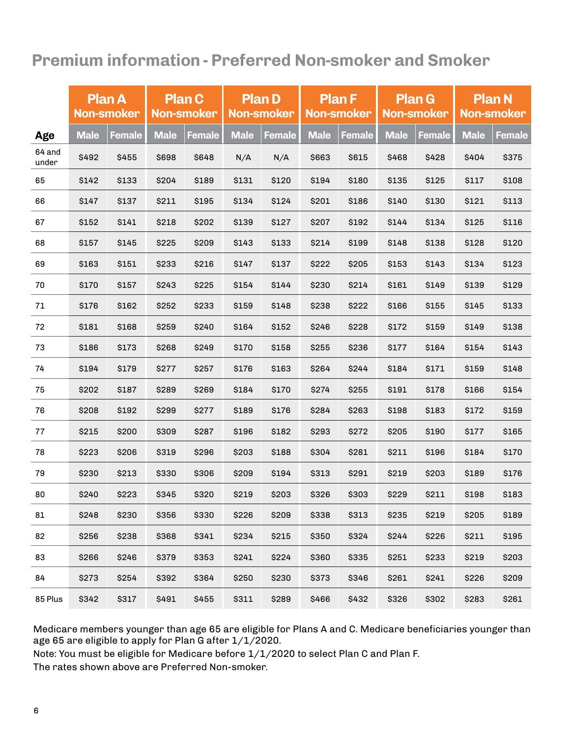# **Premium information - Preferred Non-smoker and Smoker**

|                 | <b>Plan A</b><br>Non-smoker |               | <b>Plan C</b><br><b>Non-smoker</b> |               | <b>Plan D</b><br><b>Non-smoker</b> |        |             | <b>Plan F</b><br><b>Non-smoker</b> |             | <b>Plan G</b><br><b>Non-smoker</b> | <b>Plan N</b><br><b>Non-smoker</b> |               |
|-----------------|-----------------------------|---------------|------------------------------------|---------------|------------------------------------|--------|-------------|------------------------------------|-------------|------------------------------------|------------------------------------|---------------|
| Age             | <b>Male</b>                 | <b>Female</b> | <b>Male</b>                        | <b>Female</b> | <b>Male</b>                        | Female | <b>Male</b> | <b>Female</b>                      | <b>Male</b> | <b>Female</b>                      | <b>Male</b>                        | <b>Female</b> |
| 64 and<br>under | \$492                       | \$455         | \$698                              | \$648         | N/A                                | N/A    | \$663       | \$615                              | \$468       | \$428                              | \$404                              | \$375         |
| 65              | \$142                       | \$133         | \$204                              | \$189         | \$131                              | \$120  | \$194       | \$180                              | \$135       | \$125                              | \$117                              | \$108         |
| 66              | \$147                       | \$137         | \$211                              | \$195         | \$134                              | \$124  | \$201       | \$186                              | \$140       | \$130                              | \$121                              | \$113         |
| 67              | \$152                       | \$141         | \$218                              | \$202         | \$139                              | \$127  | \$207       | \$192                              | \$144       | \$134                              | \$125                              | \$116         |
| 68              | \$157                       | \$145         | \$225                              | \$209         | \$143                              | \$133  | \$214       | \$199                              | \$148       | \$138                              | \$128                              | \$120         |
| 69              | \$163                       | \$151         | \$233                              | \$216         | \$147                              | \$137  | \$222       | \$205                              | \$153       | \$143                              | \$134                              | \$123         |
| 70              | \$170                       | \$157         | \$243                              | \$225         | \$154                              | \$144  | \$230       | \$214                              | \$161       | \$149                              | \$139                              | \$129         |
| 71              | \$176                       | \$162         | \$252                              | \$233         | \$159                              | \$148  | \$238       | \$222                              | \$166       | \$155                              | \$145                              | \$133         |
| 72              | \$181                       | \$168         | \$259                              | \$240         | \$164                              | \$152  | \$246       | \$228                              | \$172       | \$159                              | \$149                              | \$138         |
| 73              | \$186                       | \$173         | \$268                              | \$249         | \$170                              | \$158  | \$255       | \$236                              | \$177       | \$164                              | \$154                              | \$143         |
| 74              | \$194                       | \$179         | \$277                              | \$257         | \$176                              | \$163  | \$264       | \$244                              | \$184       | \$171                              | \$159                              | \$148         |
| 75              | \$202                       | \$187         | \$289                              | \$269         | \$184                              | \$170  | \$274       | \$255                              | \$191       | \$178                              | \$166                              | \$154         |
| 76              | \$208                       | \$192         | \$299                              | \$277         | \$189                              | \$176  | \$284       | \$263                              | \$198       | \$183                              | \$172                              | \$159         |
| 77              | \$215                       | \$200         | \$309                              | \$287         | \$196                              | \$182  | \$293       | \$272                              | \$205       | \$190                              | \$177                              | \$165         |
| 78              | \$223                       | \$206         | \$319                              | \$296         | \$203                              | \$188  | \$304       | \$281                              | \$211       | \$196                              | \$184                              | \$170         |
| 79              | \$230                       | \$213         | \$330                              | \$306         | \$209                              | \$194  | \$313       | \$291                              | \$219       | \$203                              | \$189                              | \$176         |
| 80              | \$240                       | \$223         | \$345                              | \$320         | \$219                              | \$203  | \$326       | \$303                              | \$229       | \$211                              | \$198                              | \$183         |
| 81              | \$248                       | \$230         | \$356                              | \$330         | \$226                              | \$209  | \$338       | \$313                              | \$235       | \$219                              | \$205                              | \$189         |
| 82              | \$256                       | \$238         | \$368                              | \$341         | \$234                              | \$215  | \$350       | \$324                              | \$244       | \$226                              | \$211                              | \$195         |
| 83              | \$266                       | \$246         | \$379                              | \$353         | \$241                              | \$224  | \$360       | \$335                              | \$251       | \$233                              | \$219                              | \$203         |
| 84              | \$273                       | \$254         | \$392                              | \$364         | \$250                              | \$230  | \$373       | \$346                              | \$261       | \$241                              | \$226                              | \$209         |
| 85 Plus         | \$342                       | \$317         | \$491                              | \$455         | \$311                              | \$289  | \$466       | \$432                              | \$326       | \$302                              | \$283                              | \$261         |

Medicare members younger than age 65 are eligible for Plans A and C. Medicare beneficiaries younger than age 65 are eligible to apply for Plan G after 1/1/2020.

Note: You must be eligible for Medicare before 1/1/2020 to select Plan C and Plan F.

The rates shown above are Preferred Non-smoker.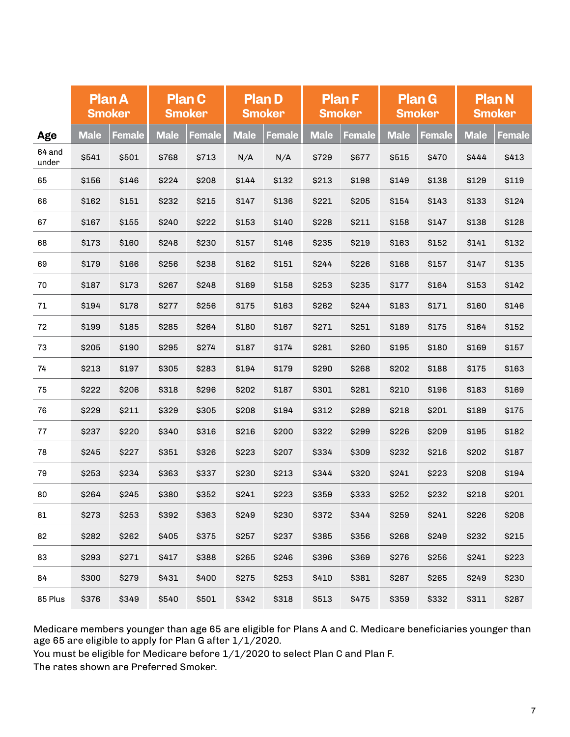|                 | <b>Plan A</b><br><b>Smoker</b> |        |             | <b>Plan C</b><br><b>Smoker</b> |             | <b>Plan D</b><br><b>Smoker</b> |             | <b>Plan F</b><br><b>Smoker</b> |             | <b>Plan G</b><br><b>Smoker</b> | <b>Plan N</b><br><b>Smoker</b> |             |
|-----------------|--------------------------------|--------|-------------|--------------------------------|-------------|--------------------------------|-------------|--------------------------------|-------------|--------------------------------|--------------------------------|-------------|
| Age             | <b>Male</b>                    | Female | <b>Male</b> | Female                         | <b>Male</b> | Female                         | <b>Male</b> | Female                         | <b>Male</b> | Female                         | <b>Male</b>                    | Female      |
| 64 and<br>under | \$541                          | \$501  | \$768       | \$713                          | N/A         | N/A                            | \$729       | \$677                          | \$515       | \$470                          | \$444                          | \$413       |
| 65              | \$156                          | \$146  | \$224       | \$208                          | \$144       | \$132                          | \$213       | \$198                          | \$149       | \$138                          | \$129                          | \$119       |
| 66              | \$162                          | \$151  | \$232       | \$215                          | \$147       | \$136                          | \$221       | \$205                          | \$154       | \$143                          | \$133                          | \$124       |
| 67              | \$167                          | \$155  | \$240       | \$222                          | \$153       | \$140                          | \$228       | \$211                          | \$158       | \$147                          | \$138                          | \$128       |
| 68              | \$173                          | \$160  | \$248       | \$230                          | \$157       | \$146                          | \$235       | \$219                          | \$163       | \$152                          | \$141                          | \$132       |
| 69              | \$179                          | \$166  | \$256       | \$238                          | \$162       | \$151                          | \$244       | \$226                          | \$168       | \$157                          | \$147                          | \$135       |
| 70              | \$187                          | \$173  | \$267       | \$248                          | \$169       | \$158                          | \$253       | \$235                          | \$177       | \$164                          | \$153                          | <b>S142</b> |
| 71              | \$194                          | \$178  | \$277       | \$256                          | \$175       | \$163                          | \$262       | \$244                          | \$183       | \$171                          | \$160                          | \$146       |
| 72              | \$199                          | \$185  | \$285       | \$264                          | \$180       | \$167                          | \$271       | \$251                          | \$189       | \$175                          | \$164                          | \$152       |
| 73              | \$205                          | \$190  | \$295       | \$274                          | \$187       | \$174                          | \$281       | \$260                          | \$195       | \$180                          | \$169                          | \$157       |
| 74              | \$213                          | \$197  | \$305       | \$283                          | \$194       | \$179                          | \$290       | \$268                          | \$202       | \$188                          | \$175                          | \$163       |
| 75              | \$222                          | \$206  | \$318       | \$296                          | \$202       | \$187                          | \$301       | \$281                          | \$210       | \$196                          | \$183                          | \$169       |
| 76              | \$229                          | \$211  | \$329       | \$305                          | \$208       | \$194                          | \$312       | \$289                          | \$218       | \$201                          | \$189                          | \$175       |
| 77              | \$237                          | \$220  | \$340       | \$316                          | \$216       | \$200                          | \$322       | \$299                          | \$226       | \$209                          | \$195                          | \$182       |
| 78              | \$245                          | \$227  | \$351       | \$326                          | \$223       | \$207                          | \$334       | \$309                          | \$232       | \$216                          | \$202                          | \$187       |
| 79              | \$253                          | \$234  | \$363       | \$337                          | \$230       | \$213                          | \$344       | \$320                          | \$241       | \$223                          | \$208                          | \$194       |
| 80              | \$264                          | \$245  | \$380       | \$352                          | \$241       | \$223                          | \$359       | \$333                          | \$252       | \$232                          | \$218                          | \$201       |
| 81              | \$273                          | \$253  | \$392       | \$363                          | \$249       | \$230                          | \$372       | \$344                          | \$259       | \$241                          | \$226                          | \$208       |
| 82              | \$282                          | \$262  | \$405       | \$375                          | \$257       | \$237                          | \$385       | \$356                          | \$268       | \$249                          | \$232                          | \$215       |
| 83              | \$293                          | \$271  | \$417       | \$388                          | \$265       | \$246                          | \$396       | \$369                          | \$276       | \$256                          | \$241                          | \$223       |
| 84              | \$300                          | \$279  | \$431       | \$400                          | \$275       | \$253                          | \$410       | \$381                          | \$287       | \$265                          | \$249                          | \$230       |
| 85 Plus         | \$376                          | \$349  | \$540       | \$501                          | \$342       | \$318                          | \$513       | \$475                          | \$359       | \$332                          | \$311                          | \$287       |

Medicare members younger than age 65 are eligible for Plans A and C. Medicare beneficiaries younger than age 65 are eligible to apply for Plan G after 1/1/2020.

You must be eligible for Medicare before 1/1/2020 to select Plan C and Plan F.

The rates shown are Preferred Smoker.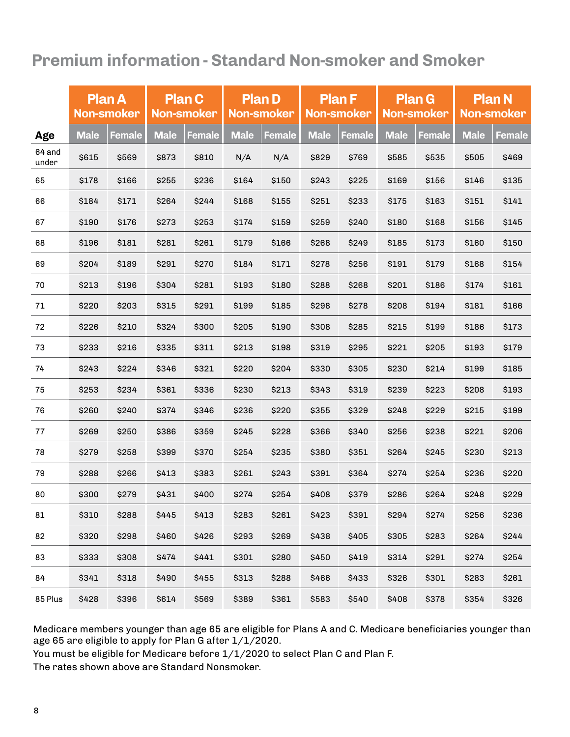# **Premium information - Standard Non-smoker and Smoker**

|                 | <b>Plan A</b><br>Non-smoker |               | <b>Plan C</b><br><b>Non-smoker</b> |               | <b>Plan D</b><br><b>Non-smoker</b> |        |             | <b>Plan F</b><br><b>Non-smoker</b> |             | <b>Plan G</b><br><b>Non-smoker</b> | <b>Plan N</b><br><b>Non-smoker</b> |        |
|-----------------|-----------------------------|---------------|------------------------------------|---------------|------------------------------------|--------|-------------|------------------------------------|-------------|------------------------------------|------------------------------------|--------|
| Age             | <b>Male</b>                 | <b>Female</b> | <b>Male</b>                        | <b>Female</b> | <b>Male</b>                        | Female | <b>Male</b> | Female                             | <b>Male</b> | Female                             | <b>Male</b>                        | Female |
| 64 and<br>under | \$615                       | \$569         | \$873                              | \$810         | N/A                                | N/A    | \$829       | \$769                              | \$585       | \$535                              | \$505                              | \$469  |
| 65              | \$178                       | \$166         | \$255                              | \$236         | \$164                              | \$150  | \$243       | \$225                              | \$169       | \$156                              | \$146                              | \$135  |
| 66              | \$184                       | \$171         | \$264                              | \$244         | \$168                              | \$155  | \$251       | \$233                              | \$175       | \$163                              | \$151                              | \$141  |
| 67              | \$190                       | \$176         | \$273                              | \$253         | \$174                              | \$159  | \$259       | \$240                              | \$180       | \$168                              | \$156                              | \$145  |
| 68              | \$196                       | \$181         | \$281                              | \$261         | \$179                              | \$166  | \$268       | \$249                              | \$185       | \$173                              | \$160                              | \$150  |
| 69              | \$204                       | \$189         | \$291                              | \$270         | \$184                              | \$171  | \$278       | \$256                              | \$191       | \$179                              | \$168                              | \$154  |
| 70              | \$213                       | \$196         | \$304                              | \$281         | \$193                              | \$180  | \$288       | \$268                              | \$201       | \$186                              | \$174                              | \$161  |
| 71              | \$220                       | \$203         | \$315                              | \$291         | \$199                              | \$185  | \$298       | \$278                              | \$208       | \$194                              | \$181                              | \$166  |
| 72              | \$226                       | \$210         | \$324                              | \$300         | \$205                              | \$190  | \$308       | \$285                              | \$215       | \$199                              | \$186                              | \$173  |
| 73              | \$233                       | \$216         | \$335                              | \$311         | \$213                              | \$198  | \$319       | \$295                              | \$221       | \$205                              | \$193                              | \$179  |
| 74              | \$243                       | \$224         | \$346                              | \$321         | \$220                              | \$204  | \$330       | \$305                              | \$230       | \$214                              | \$199                              | \$185  |
| 75              | \$253                       | \$234         | \$361                              | \$336         | \$230                              | \$213  | \$343       | \$319                              | \$239       | \$223                              | \$208                              | \$193  |
| 76              | \$260                       | \$240         | \$374                              | \$346         | \$236                              | \$220  | \$355       | \$329                              | \$248       | \$229                              | \$215                              | \$199  |
| 77              | \$269                       | \$250         | \$386                              | \$359         | \$245                              | \$228  | \$366       | \$340                              | \$256       | \$238                              | \$221                              | \$206  |
| 78              | \$279                       | \$258         | \$399                              | \$370         | \$254                              | \$235  | \$380       | \$351                              | \$264       | \$245                              | \$230                              | \$213  |
| 79              | \$288                       | \$266         | \$413                              | \$383         | \$261                              | \$243  | \$391       | \$364                              | \$274       | \$254                              | \$236                              | \$220  |
| 80              | \$300                       | \$279         | \$431                              | \$400         | \$274                              | \$254  | \$408       | \$379                              | \$286       | \$264                              | \$248                              | \$229  |
| 81              | \$310                       | \$288         | \$445                              | \$413         | \$283                              | \$261  | \$423       | \$391                              | \$294       | \$274                              | \$256                              | \$236  |
| 82              | \$320                       | \$298         | \$460                              | \$426         | \$293                              | \$269  | \$438       | \$405                              | \$305       | \$283                              | \$264                              | \$244  |
| 83              | \$333                       | \$308         | \$474                              | \$441         | \$301                              | \$280  | \$450       | \$419                              | \$314       | \$291                              | \$274                              | \$254  |
| 84              | \$341                       | \$318         | \$490                              | \$455         | \$313                              | \$288  | \$466       | \$433                              | \$326       | \$301                              | \$283                              | \$261  |
| 85 Plus         | \$428                       | \$396         | \$614                              | \$569         | \$389                              | \$361  | \$583       | \$540                              | \$408       | \$378                              | \$354                              | \$326  |

Medicare members younger than age 65 are eligible for Plans A and C. Medicare beneficiaries younger than age 65 are eligible to apply for Plan G after 1/1/2020.

You must be eligible for Medicare before 1/1/2020 to select Plan C and Plan F.

The rates shown above are Standard Nonsmoker.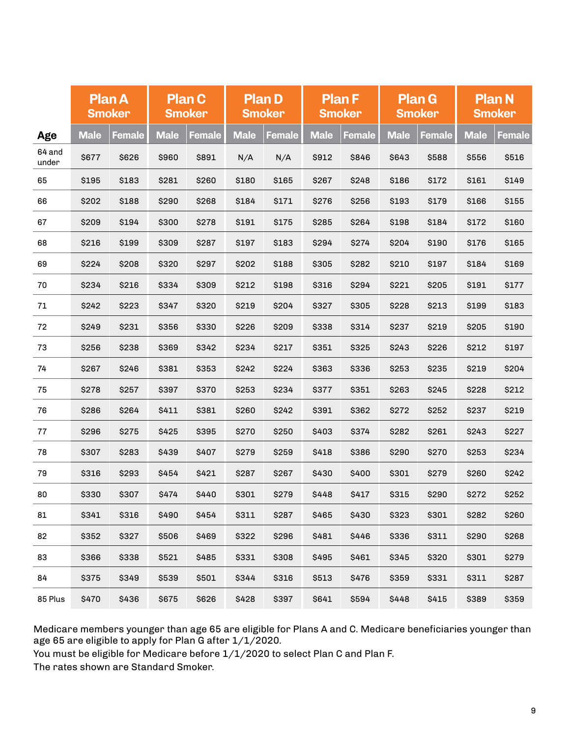|                 | <b>Plan A</b><br><b>Smoker</b> |        |             | <b>Plan C</b><br><b>Smoker</b> |             | <b>Plan D</b><br><b>Smoker</b> |             | <b>Plan F</b><br><b>Smoker</b> |             | <b>Plan G</b><br><b>Smoker</b> |             | <b>Plan N</b><br><b>Smoker</b> |
|-----------------|--------------------------------|--------|-------------|--------------------------------|-------------|--------------------------------|-------------|--------------------------------|-------------|--------------------------------|-------------|--------------------------------|
| Age             | <b>Male</b>                    | Female | <b>Male</b> | Female                         | <b>Male</b> | <b>Female</b>                  | <b>Male</b> | Female                         | <b>Male</b> | <b>Female</b>                  | <b>Male</b> | <b>Female</b>                  |
| 64 and<br>under | \$677                          | \$626  | \$960       | \$891                          | N/A         | N/A                            | \$912       | \$846                          | \$643       | \$588                          | \$556       | \$516                          |
| 65              | \$195                          | \$183  | \$281       | \$260                          | \$180       | \$165                          | \$267       | \$248                          | \$186       | \$172                          | \$161       | \$149                          |
| 66              | <b>\$202</b>                   | \$188  | \$290       | \$268                          | \$184       | \$171                          | \$276       | \$256                          | \$193       | \$179                          | \$166       | \$155                          |
| 67              | \$209                          | \$194  | \$300       | \$278                          | \$191       | \$175                          | \$285       | \$264                          | \$198       | \$184                          | \$172       | \$160                          |
| 68              | \$216                          | \$199  | \$309       | \$287                          | \$197       | \$183                          | \$294       | \$274                          | \$204       | \$190                          | \$176       | \$165                          |
| 69              | \$224                          | \$208  | \$320       | \$297                          | \$202       | \$188                          | \$305       | \$282                          | \$210       | \$197                          | \$184       | \$169                          |
| 70              | \$234                          | \$216  | \$334       | \$309                          | \$212       | \$198                          | \$316       | \$294                          | \$221       | \$205                          | \$191       | \$177                          |
| 71              | \$242                          | \$223  | \$347       | \$320                          | \$219       | \$204                          | \$327       | \$305                          | \$228       | \$213                          | \$199       | \$183                          |
| 72              | \$249                          | \$231  | \$356       | \$330                          | \$226       | \$209                          | \$338       | \$314                          | \$237       | \$219                          | \$205       | \$190                          |
| 73              | \$256                          | \$238  | \$369       | \$342                          | \$234       | \$217                          | \$351       | \$325                          | \$243       | \$226                          | \$212       | \$197                          |
| 74              | \$267                          | \$246  | \$381       | \$353                          | \$242       | \$224                          | \$363       | \$336                          | \$253       | \$235                          | \$219       | \$204                          |
| 75              | \$278                          | \$257  | \$397       | \$370                          | \$253       | \$234                          | \$377       | \$351                          | \$263       | \$245                          | \$228       | \$212                          |
| 76              | \$286                          | \$264  | \$411       | \$381                          | \$260       | \$242                          | \$391       | \$362                          | \$272       | \$252                          | \$237       | \$219                          |
| 77              | \$296                          | \$275  | \$425       | \$395                          | \$270       | \$250                          | \$403       | \$374                          | \$282       | \$261                          | \$243       | \$227                          |
| 78              | \$307                          | \$283  | \$439       | \$407                          | \$279       | \$259                          | \$418       | \$386                          | \$290       | \$270                          | \$253       | \$234                          |
| 79              | \$316                          | \$293  | \$454       | \$421                          | \$287       | \$267                          | \$430       | \$400                          | \$301       | \$279                          | \$260       | \$242                          |
| 80              | \$330                          | \$307  | \$474       | \$440                          | \$301       | \$279                          | \$448       | <b>\$417</b>                   | \$315       | \$290                          | \$272       | \$252                          |
| 81              | \$341                          | \$316  | \$490       | \$454                          | \$311       | \$287                          | \$465       | \$430                          | \$323       | \$301                          | \$282       | \$260                          |
| 82              | \$352                          | \$327  | \$506       | \$469                          | \$322       | \$296                          | \$481       | \$446                          | \$336       | \$311                          | \$290       | \$268                          |
| 83              | \$366                          | \$338  | \$521       | \$485                          | \$331       | \$308                          | \$495       | \$461                          | \$345       | \$320                          | \$301       | \$279                          |
| 84              | \$375                          | \$349  | \$539       | \$501                          | \$344       | \$316                          | \$513       | \$476                          | \$359       | \$331                          | \$311       | \$287                          |
| 85 Plus         | \$470                          | \$436  | \$675       | \$626                          | \$428       | \$397                          | \$641       | \$594                          | \$448       | \$415                          | \$389       | \$359                          |

Medicare members younger than age 65 are eligible for Plans A and C. Medicare beneficiaries younger than age 65 are eligible to apply for Plan G after 1/1/2020.

You must be eligible for Medicare before 1/1/2020 to select Plan C and Plan F.

The rates shown are Standard Smoker.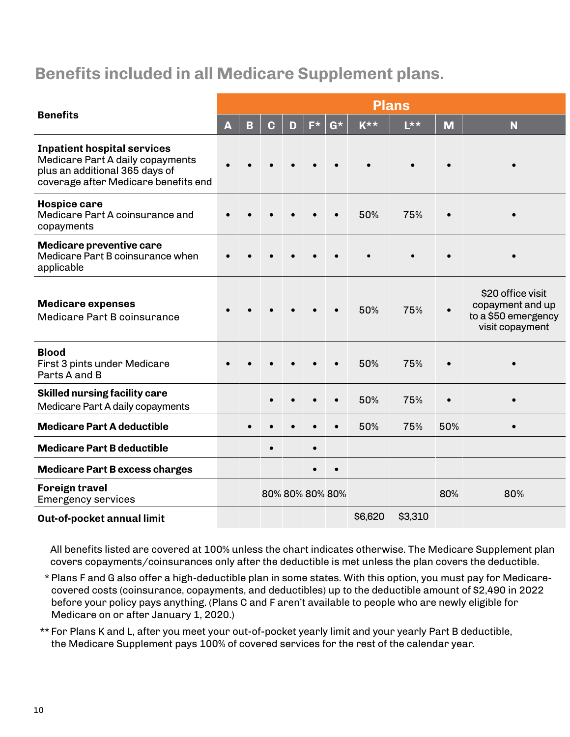## **Benefits included in all Medicare Supplement plans.**

|                                                                                                                                                  |   |   |           |                 |    |    |                    | <b>Plans</b> |     |                                                                                 |
|--------------------------------------------------------------------------------------------------------------------------------------------------|---|---|-----------|-----------------|----|----|--------------------|--------------|-----|---------------------------------------------------------------------------------|
| <b>Benefits</b>                                                                                                                                  | A | B | C         | D               | F* | G* | $K^{\star\,\star}$ | $L***$       | M   | N                                                                               |
| <b>Inpatient hospital services</b><br>Medicare Part A daily copayments<br>plus an additional 365 days of<br>coverage after Medicare benefits end |   |   |           |                 |    |    |                    |              |     |                                                                                 |
| Hospice care<br>Medicare Part A coinsurance and<br>copayments                                                                                    |   |   |           |                 |    |    | 50%                | 75%          |     |                                                                                 |
| Medicare preventive care<br>Medicare Part B coinsurance when<br>applicable                                                                       |   |   |           |                 |    |    |                    |              |     |                                                                                 |
| <b>Medicare expenses</b><br>Medicare Part B coinsurance                                                                                          |   |   |           |                 |    |    | 50%                | 75%          |     | \$20 office visit<br>copayment and up<br>to a \$50 emergency<br>visit copayment |
| <b>Blood</b><br>First 3 pints under Medicare<br>Parts A and B                                                                                    |   |   |           |                 |    |    | 50%                | 75%          |     |                                                                                 |
| <b>Skilled nursing facility care</b><br>Medicare Part A daily copayments                                                                         |   |   |           |                 |    |    | 50%                | 75%          |     |                                                                                 |
| <b>Medicare Part A deductible</b>                                                                                                                |   |   |           |                 |    |    | 50%                | 75%          | 50% |                                                                                 |
| <b>Medicare Part B deductible</b>                                                                                                                |   |   | $\bullet$ |                 |    |    |                    |              |     |                                                                                 |
| <b>Medicare Part B excess charges</b>                                                                                                            |   |   |           |                 |    |    |                    |              |     |                                                                                 |
| <b>Foreign travel</b><br><b>Emergency services</b>                                                                                               |   |   |           | 80% 80% 80% 80% |    |    |                    |              | 80% | 80%                                                                             |
| Out-of-pocket annual limit                                                                                                                       |   |   |           |                 |    |    | \$6,620            | \$3,310      |     |                                                                                 |

All benefits listed are covered at 100% unless the chart indicates otherwise. The Medicare Supplement plan covers copayments/coinsurances only after the deductible is met unless the plan covers the deductible.

- \* Plans F and G also offer a high-deductible plan in some states. With this option, you must pay for Medicarecovered costs (coinsurance, copayments, and deductibles) up to the deductible amount of \$2,490 in 2022 before your policy pays anything. (Plans C and F aren't available to people who are newly eligible for Medicare on or after January 1, 2020.)
- \*\* For Plans K and L, after you meet your out-of-pocket yearly limit and your yearly Part B deductible, the Medicare Supplement pays 100% of covered services for the rest of the calendar year.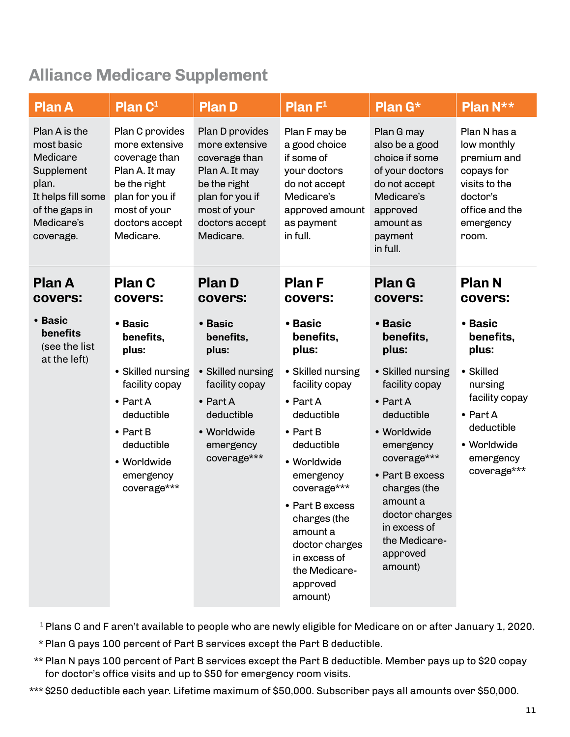# **Alliance Medicare Supplement**

| <b>Plan A</b>                                                                                                                     | Plan C <sup>1</sup>                                                                                                                                    | <b>Plan D</b>                                                                                                                                          | <b>Plan <math>F^1</math></b>                                                                                                                                                                                                                                                | <b>Plan G*</b>                                                                                                                                                                                                                            | Plan N**                                                                                                                      |
|-----------------------------------------------------------------------------------------------------------------------------------|--------------------------------------------------------------------------------------------------------------------------------------------------------|--------------------------------------------------------------------------------------------------------------------------------------------------------|-----------------------------------------------------------------------------------------------------------------------------------------------------------------------------------------------------------------------------------------------------------------------------|-------------------------------------------------------------------------------------------------------------------------------------------------------------------------------------------------------------------------------------------|-------------------------------------------------------------------------------------------------------------------------------|
| Plan A is the<br>most basic<br>Medicare<br>Supplement<br>plan.<br>It helps fill some<br>of the gaps in<br>Medicare's<br>coverage. | Plan C provides<br>more extensive<br>coverage than<br>Plan A. It may<br>be the right<br>plan for you if<br>most of your<br>doctors accept<br>Medicare. | Plan D provides<br>more extensive<br>coverage than<br>Plan A. It may<br>be the right<br>plan for you if<br>most of your<br>doctors accept<br>Medicare. | Plan F may be<br>a good choice<br>if some of<br>your doctors<br>do not accept<br>Medicare's<br>approved amount<br>as payment<br>in full.                                                                                                                                    | Plan G may<br>also be a good<br>choice if some<br>of your doctors<br>do not accept<br>Medicare's<br>approved<br>amount as<br>payment<br>in full.                                                                                          | Plan N has a<br>low monthly<br>premium and<br>copays for<br>visits to the<br>doctor's<br>office and the<br>emergency<br>room. |
| <b>Plan A</b><br><b>COVERS:</b>                                                                                                   | <b>Plan C</b><br>covers:                                                                                                                               | <b>Plan D</b><br>covers:                                                                                                                               | <b>Plan F</b><br>covers:                                                                                                                                                                                                                                                    | <b>Plan G</b><br>covers:                                                                                                                                                                                                                  | <b>Plan N</b><br>covers:                                                                                                      |
| • Basic<br>benefits<br>(see the list<br>at the left)                                                                              | • Basic<br>benefits,<br>plus:                                                                                                                          | • Basic<br>benefits,<br>plus:                                                                                                                          | • Basic<br>benefits,<br>plus:                                                                                                                                                                                                                                               | • Basic<br>benefits,<br>plus:                                                                                                                                                                                                             | • Basic<br>benefits,<br>plus:                                                                                                 |
|                                                                                                                                   | • Skilled nursing<br>facility copay<br>$\bullet$ Part A<br>deductible<br>$\bullet$ Part B<br>deductible<br>• Worldwide<br>emergency<br>coverage***     | • Skilled nursing<br>facility copay<br>$\bullet$ Part A<br>deductible<br>• Worldwide<br>emergency<br>coverage***                                       | • Skilled nursing<br>facility copay<br>$\bullet$ Part A<br>deductible<br>$\bullet$ Part B<br>deductible<br>• Worldwide<br>emergency<br>coverage***<br>• Part B excess<br>charges (the<br>amount a<br>doctor charges<br>in excess of<br>the Medicare-<br>approved<br>amount) | • Skilled nursing<br>facility copay<br>$\bullet$ Part A<br>deductible<br>• Worldwide<br>emergency<br>coverage***<br>• Part B excess<br>charges (the<br>amount a<br>doctor charges<br>in excess of<br>the Medicare-<br>approved<br>amount) | • Skilled<br>nursing<br>facility copay<br>$\bullet$ Part A<br>deductible<br>• Worldwide<br>emergency<br>coverage***           |

<sup>1</sup> Plans C and F aren't available to people who are newly eligible for Medicare on or after January 1, 2020.

- \* Plan G pays 100 percent of Part B services except the Part B deductible.
- \*\* Plan N pays 100 percent of Part B services except the Part B deductible. Member pays up to \$20 copay for doctor's office visits and up to \$50 for emergency room visits.
- \*\*\* \$250 deductible each year. Lifetime maximum of \$50,000. Subscriber pays all amounts over \$50,000.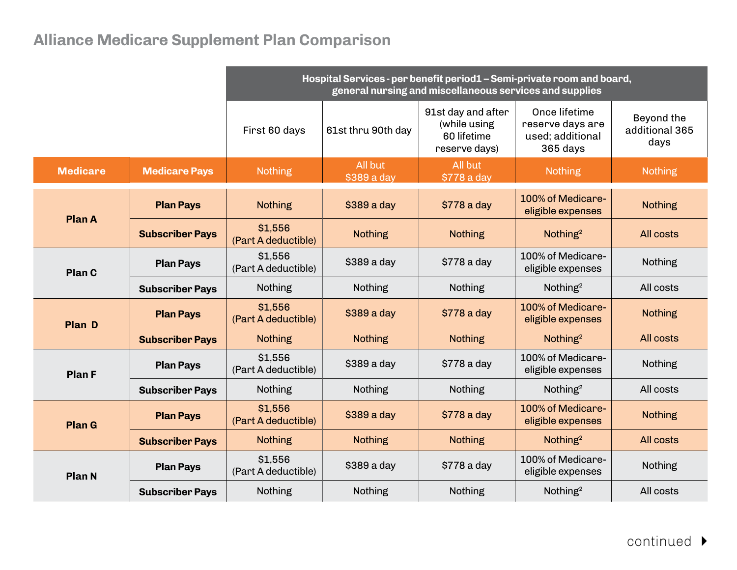# **Alliance Medicare Supplement Plan Comparison**

|                 |                        | Hospital Services - per benefit period1 - Semi-private room and board,<br>general nursing and miscellaneous services and supplies |                        |                                                                    |                                                                   |                                      |  |  |  |  |
|-----------------|------------------------|-----------------------------------------------------------------------------------------------------------------------------------|------------------------|--------------------------------------------------------------------|-------------------------------------------------------------------|--------------------------------------|--|--|--|--|
|                 |                        | First 60 days                                                                                                                     | 61st thru 90th day     | 91st day and after<br>(while using<br>60 lifetime<br>reserve days) | Once lifetime<br>reserve days are<br>used; additional<br>365 days | Beyond the<br>additional 365<br>days |  |  |  |  |
| <b>Medicare</b> | <b>Medicare Pays</b>   | <b>Nothing</b>                                                                                                                    | All but<br>\$389 a day | All but<br>\$778 a day                                             | <b>Nothing</b>                                                    | <b>Nothing</b>                       |  |  |  |  |
| <b>Plan A</b>   | <b>Plan Pays</b>       | <b>Nothing</b>                                                                                                                    | $$389$ a day           | \$778 a day                                                        | 100% of Medicare-<br>eligible expenses                            | <b>Nothing</b>                       |  |  |  |  |
|                 | <b>Subscriber Pays</b> | \$1,556<br>(Part A deductible)                                                                                                    | <b>Nothing</b>         | <b>Nothing</b>                                                     | Nothing <sup>2</sup>                                              | All costs                            |  |  |  |  |
| Plan C          | <b>Plan Pays</b>       | \$1,556<br>(Part A deductible)                                                                                                    | \$389 a day            | \$778 a day                                                        | 100% of Medicare-<br>eligible expenses                            | <b>Nothing</b>                       |  |  |  |  |
|                 | <b>Subscriber Pays</b> | <b>Nothing</b>                                                                                                                    | <b>Nothing</b>         | Nothing                                                            | Nothing <sup>2</sup>                                              | All costs                            |  |  |  |  |
| <b>Plan D</b>   | <b>Plan Pays</b>       | \$1,556<br>(Part A deductible)                                                                                                    | \$389 a day            | \$778 a day                                                        | 100% of Medicare-<br>eligible expenses                            | <b>Nothing</b>                       |  |  |  |  |
|                 | <b>Subscriber Pays</b> | <b>Nothing</b>                                                                                                                    | <b>Nothing</b>         | <b>Nothing</b>                                                     | Nothing <sup>2</sup>                                              | All costs                            |  |  |  |  |
| <b>Plan F</b>   | <b>Plan Pays</b>       | \$1,556<br>(Part A deductible)                                                                                                    | \$389 a day            | \$778 a day                                                        | 100% of Medicare-<br>eligible expenses                            | <b>Nothing</b>                       |  |  |  |  |
|                 | <b>Subscriber Pays</b> | <b>Nothing</b>                                                                                                                    | <b>Nothing</b>         | <b>Nothing</b>                                                     | Nothing <sup>2</sup>                                              | All costs                            |  |  |  |  |
| <b>Plan G</b>   | <b>Plan Pays</b>       | \$1,556<br>(Part A deductible)                                                                                                    | \$389 a day            | \$778 a day                                                        | 100% of Medicare-<br>eligible expenses                            | <b>Nothing</b>                       |  |  |  |  |
|                 | <b>Subscriber Pays</b> | <b>Nothing</b>                                                                                                                    | <b>Nothing</b>         | <b>Nothing</b>                                                     | Nothing <sup>2</sup>                                              | All costs                            |  |  |  |  |
| <b>Plan N</b>   | <b>Plan Pays</b>       | \$1,556<br>(Part A deductible)                                                                                                    | \$389 a day            | \$778 a day                                                        | 100% of Medicare-<br>eligible expenses                            | <b>Nothing</b>                       |  |  |  |  |
|                 | <b>Subscriber Pays</b> | <b>Nothing</b>                                                                                                                    | <b>Nothing</b>         | <b>Nothing</b>                                                     | Nothing <sup>2</sup>                                              | All costs                            |  |  |  |  |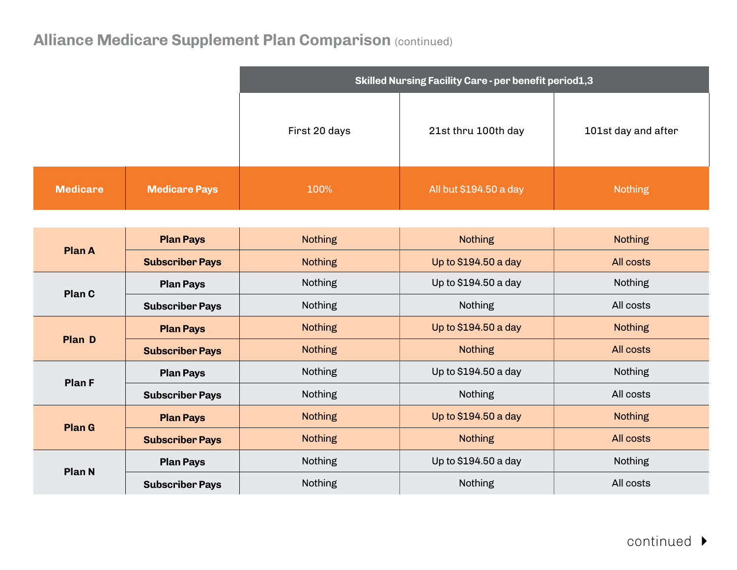|                 |                        |                | Skilled Nursing Facility Care - per benefit period1,3 |                     |
|-----------------|------------------------|----------------|-------------------------------------------------------|---------------------|
|                 |                        | First 20 days  | 21st thru 100th day                                   | 101st day and after |
| <b>Medicare</b> | <b>Medicare Pays</b>   | 100%           | All but \$194.50 a day                                | <b>Nothing</b>      |
|                 |                        |                |                                                       |                     |
| <b>Plan A</b>   | <b>Plan Pays</b>       | <b>Nothing</b> | Nothing                                               | <b>Nothing</b>      |
|                 | <b>Subscriber Pays</b> | <b>Nothing</b> | Up to \$194.50 a day                                  | All costs           |
|                 | <b>Plan Pays</b>       | Nothing        | Up to \$194.50 a day                                  | Nothing             |
| Plan C          | <b>Subscriber Pays</b> | Nothing        | Nothing                                               | All costs           |
|                 | <b>Plan Pays</b>       | <b>Nothing</b> | Up to \$194.50 a day                                  | <b>Nothing</b>      |
| <b>Plan D</b>   | <b>Subscriber Pays</b> | <b>Nothing</b> | <b>Nothing</b>                                        | All costs           |
| <b>Plan F</b>   | <b>Plan Pays</b>       | Nothing        | Up to \$194.50 a day                                  | Nothing             |
|                 | <b>Subscriber Pays</b> | Nothing        | Nothing                                               | All costs           |
|                 | <b>Plan Pays</b>       | <b>Nothing</b> | Up to \$194.50 a day                                  | <b>Nothing</b>      |
| <b>Plan G</b>   | <b>Subscriber Pays</b> | <b>Nothing</b> | <b>Nothing</b>                                        | All costs           |
| <b>Plan N</b>   | <b>Plan Pays</b>       | Nothing        | Up to \$194.50 a day                                  | Nothing             |
|                 | <b>Subscriber Pays</b> | Nothing        | Nothing                                               | All costs           |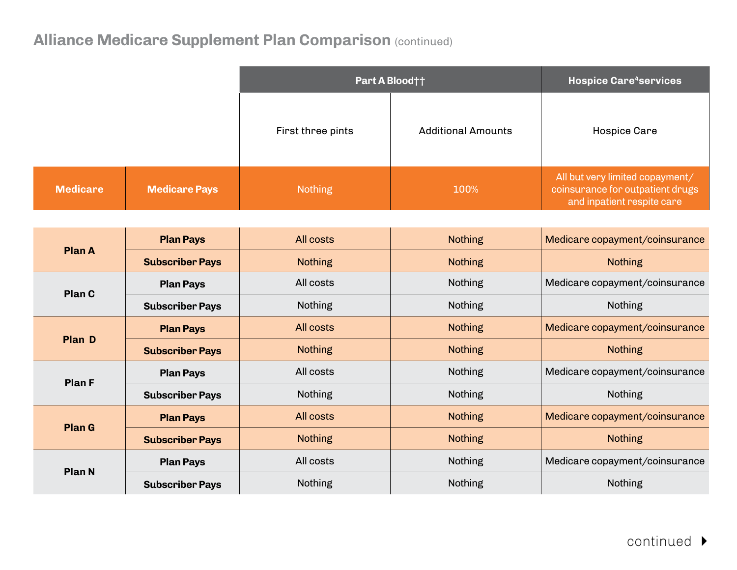|                 |                        |                   | Part A Blood††            | <b>Hospice Care<sup>4</sup>services</b>                                                           |
|-----------------|------------------------|-------------------|---------------------------|---------------------------------------------------------------------------------------------------|
|                 |                        | First three pints | <b>Additional Amounts</b> | <b>Hospice Care</b>                                                                               |
| <b>Medicare</b> | <b>Medicare Pays</b>   | <b>Nothing</b>    | 100%                      | All but very limited copayment/<br>coinsurance for outpatient drugs<br>and inpatient respite care |
|                 |                        |                   |                           |                                                                                                   |
| <b>Plan A</b>   | <b>Plan Pays</b>       | All costs         | <b>Nothing</b>            | Medicare copayment/coinsurance                                                                    |
|                 | <b>Subscriber Pays</b> | <b>Nothing</b>    | <b>Nothing</b>            | <b>Nothing</b>                                                                                    |
|                 | <b>Plan Pays</b>       | All costs         | <b>Nothing</b>            | Medicare copayment/coinsurance                                                                    |
| Plan C          | <b>Subscriber Pays</b> | Nothing           | Nothing                   | Nothing                                                                                           |
|                 | <b>Plan Pays</b>       | All costs         | <b>Nothing</b>            | Medicare copayment/coinsurance                                                                    |
| <b>Plan D</b>   | <b>Subscriber Pays</b> | <b>Nothing</b>    | <b>Nothing</b>            | <b>Nothing</b>                                                                                    |
|                 | <b>Plan Pays</b>       | All costs         | <b>Nothing</b>            | Medicare copayment/coinsurance                                                                    |
| <b>Plan F</b>   | <b>Subscriber Pays</b> | <b>Nothing</b>    | <b>Nothing</b>            | Nothing                                                                                           |
|                 | <b>Plan Pays</b>       | All costs         | <b>Nothing</b>            | Medicare copayment/coinsurance                                                                    |
| <b>Plan G</b>   | <b>Subscriber Pays</b> | <b>Nothing</b>    | <b>Nothing</b>            | <b>Nothing</b>                                                                                    |
|                 | <b>Plan Pays</b>       | All costs         | Nothing                   | Medicare copayment/coinsurance                                                                    |
| <b>Plan N</b>   | <b>Subscriber Pays</b> | <b>Nothing</b>    | Nothing                   | Nothing                                                                                           |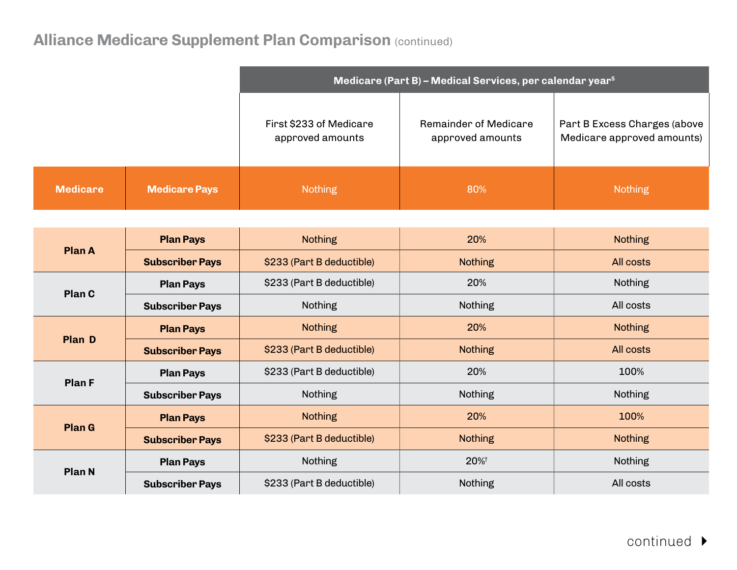|                 |                        |                                             | Medicare (Part B) - Medical Services, per calendar year <sup>5</sup> |                                                            |
|-----------------|------------------------|---------------------------------------------|----------------------------------------------------------------------|------------------------------------------------------------|
|                 |                        | First \$233 of Medicare<br>approved amounts | Remainder of Medicare<br>approved amounts                            | Part B Excess Charges (above<br>Medicare approved amounts) |
| <b>Medicare</b> | <b>Medicare Pays</b>   | <b>Nothing</b>                              | 80%                                                                  | <b>Nothing</b>                                             |
|                 |                        |                                             |                                                                      |                                                            |
| <b>Plan A</b>   | <b>Plan Pays</b>       | <b>Nothing</b>                              | 20%                                                                  | <b>Nothing</b>                                             |
|                 | <b>Subscriber Pays</b> | \$233 (Part B deductible)                   | <b>Nothing</b>                                                       | All costs                                                  |
| Plan C          | <b>Plan Pays</b>       | \$233 (Part B deductible)                   | 20%                                                                  | Nothing                                                    |
|                 | <b>Subscriber Pays</b> | Nothing                                     | Nothing                                                              | All costs                                                  |
|                 | <b>Plan Pays</b>       | <b>Nothing</b>                              | 20%                                                                  | <b>Nothing</b>                                             |
| <b>Plan D</b>   | <b>Subscriber Pays</b> | \$233 (Part B deductible)                   | <b>Nothing</b>                                                       | All costs                                                  |
| <b>Plan F</b>   | <b>Plan Pays</b>       | \$233 (Part B deductible)                   | 20%                                                                  | 100%                                                       |
|                 | <b>Subscriber Pays</b> | <b>Nothing</b>                              | Nothing                                                              | <b>Nothing</b>                                             |
|                 | <b>Plan Pays</b>       | <b>Nothing</b>                              | 20%                                                                  | 100%                                                       |
| <b>Plan G</b>   | <b>Subscriber Pays</b> | \$233 (Part B deductible)                   | <b>Nothing</b>                                                       | <b>Nothing</b>                                             |
|                 | <b>Plan Pays</b>       | Nothing                                     | 20%+                                                                 | Nothing                                                    |
| <b>Plan N</b>   | <b>Subscriber Pays</b> | \$233 (Part B deductible)                   | Nothing                                                              | All costs                                                  |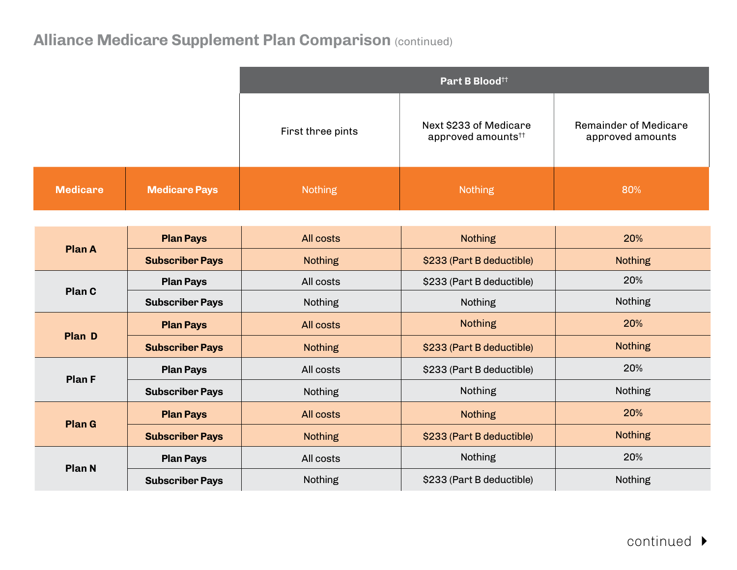|                 |                        |                   | Part B Blood <sup>tt</sup>                               |                                           |
|-----------------|------------------------|-------------------|----------------------------------------------------------|-------------------------------------------|
|                 |                        | First three pints | Next \$233 of Medicare<br>approved amounts <sup>††</sup> | Remainder of Medicare<br>approved amounts |
| <b>Medicare</b> | <b>Medicare Pays</b>   | <b>Nothing</b>    | <b>Nothing</b>                                           | 80%                                       |
|                 |                        |                   |                                                          |                                           |
|                 | <b>Plan Pays</b>       | All costs         | <b>Nothing</b>                                           | 20%                                       |
| <b>Plan A</b>   | <b>Subscriber Pays</b> | <b>Nothing</b>    | \$233 (Part B deductible)                                | <b>Nothing</b>                            |
|                 | <b>Plan Pays</b>       | All costs         | \$233 (Part B deductible)                                | 20%                                       |
| Plan C          | <b>Subscriber Pays</b> | Nothing           | Nothing                                                  | Nothing                                   |
| <b>Plan D</b>   | <b>Plan Pays</b>       | All costs         | <b>Nothing</b>                                           | 20%                                       |
|                 | <b>Subscriber Pays</b> | <b>Nothing</b>    | \$233 (Part B deductible)                                | <b>Nothing</b>                            |
| <b>Plan F</b>   | <b>Plan Pays</b>       | All costs         | \$233 (Part B deductible)                                | 20%                                       |
|                 | <b>Subscriber Pays</b> | Nothing           | Nothing                                                  | Nothing                                   |
| <b>Plan G</b>   | <b>Plan Pays</b>       | All costs         | <b>Nothing</b>                                           | 20%                                       |
|                 | <b>Subscriber Pays</b> | <b>Nothing</b>    | \$233 (Part B deductible)                                | <b>Nothing</b>                            |
| <b>Plan N</b>   | <b>Plan Pays</b>       | All costs         | Nothing                                                  | 20%                                       |
|                 | <b>Subscriber Pays</b> | Nothing           | \$233 (Part B deductible)                                | Nothing                                   |

continued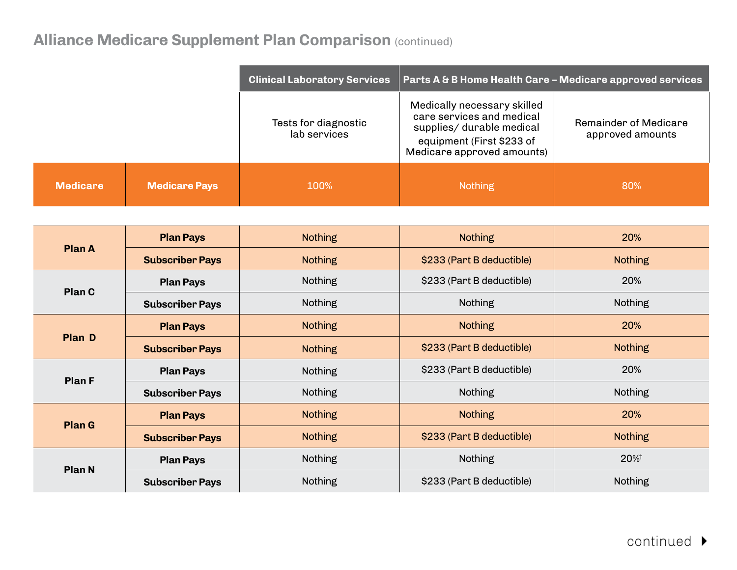|                 |                      | <b>Clinical Laboratory Services</b>  | Parts A & B Home Health Care - Medicare approved services                                                                                        |                                           |
|-----------------|----------------------|--------------------------------------|--------------------------------------------------------------------------------------------------------------------------------------------------|-------------------------------------------|
|                 |                      | Tests for diagnostic<br>lab services | Medically necessary skilled<br>care services and medical<br>supplies/ durable medical<br>equipment (First \$233 of<br>Medicare approved amounts) | Remainder of Medicare<br>approved amounts |
| <b>Medicare</b> | <b>Medicare Pays</b> | 100%                                 | <b>Nothing</b>                                                                                                                                   | 80%                                       |

| <b>Plan A</b> | <b>Plan Pays</b>       | <b>Nothing</b> | <b>Nothing</b>            | 20%                 |
|---------------|------------------------|----------------|---------------------------|---------------------|
|               | <b>Subscriber Pays</b> | <b>Nothing</b> | \$233 (Part B deductible) | <b>Nothing</b>      |
| Plan C        | <b>Plan Pays</b>       | <b>Nothing</b> | \$233 (Part B deductible) | 20%                 |
|               | <b>Subscriber Pays</b> | <b>Nothing</b> | <b>Nothing</b>            | <b>Nothing</b>      |
| <b>Plan D</b> | <b>Plan Pays</b>       | <b>Nothing</b> | <b>Nothing</b>            | 20%                 |
|               | <b>Subscriber Pays</b> | <b>Nothing</b> | \$233 (Part B deductible) | <b>Nothing</b>      |
| Plan F        | <b>Plan Pays</b>       | <b>Nothing</b> | \$233 (Part B deductible) | 20%                 |
|               | <b>Subscriber Pays</b> | <b>Nothing</b> | <b>Nothing</b>            | <b>Nothing</b>      |
| <b>Plan G</b> | <b>Plan Pays</b>       | <b>Nothing</b> | <b>Nothing</b>            | 20%                 |
|               | <b>Subscriber Pays</b> | <b>Nothing</b> | \$233 (Part B deductible) | <b>Nothing</b>      |
| <b>Plan N</b> | <b>Plan Pays</b>       | <b>Nothing</b> | <b>Nothing</b>            | $20\%$ <sup>†</sup> |
|               | <b>Subscriber Pays</b> | <b>Nothing</b> | \$233 (Part B deductible) | <b>Nothing</b>      |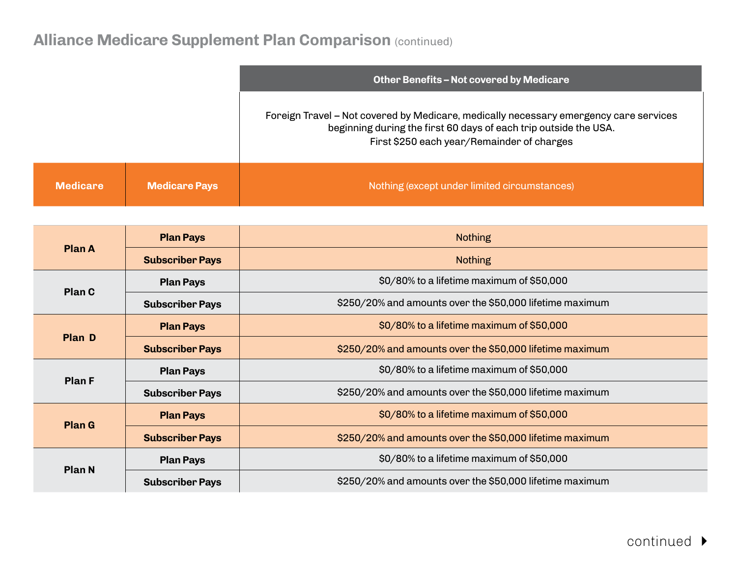|                 |                      | Other Benefits - Not covered by Medicare                                                                                                                                                                |  |
|-----------------|----------------------|---------------------------------------------------------------------------------------------------------------------------------------------------------------------------------------------------------|--|
|                 |                      | Foreign Travel – Not covered by Medicare, medically necessary emergency care services<br>beginning during the first 60 days of each trip outside the USA.<br>First \$250 each year/Remainder of charges |  |
| <b>Medicare</b> | <b>Medicare Pays</b> | Nothing (except under limited circumstances)                                                                                                                                                            |  |

| <b>Plan A</b> | <b>Plan Pays</b>       | <b>Nothing</b>                                           |  |
|---------------|------------------------|----------------------------------------------------------|--|
|               | <b>Subscriber Pays</b> | <b>Nothing</b>                                           |  |
| <b>Plan C</b> | <b>Plan Pays</b>       | \$0/80% to a lifetime maximum of \$50,000                |  |
|               | <b>Subscriber Pays</b> | \$250/20% and amounts over the \$50,000 lifetime maximum |  |
| <b>Plan D</b> | <b>Plan Pays</b>       | \$0/80% to a lifetime maximum of \$50,000                |  |
|               | <b>Subscriber Pays</b> | \$250/20% and amounts over the \$50,000 lifetime maximum |  |
| <b>Plan F</b> | <b>Plan Pays</b>       | \$0/80% to a lifetime maximum of \$50,000                |  |
|               | <b>Subscriber Pays</b> | \$250/20% and amounts over the \$50,000 lifetime maximum |  |
| <b>Plan G</b> | <b>Plan Pays</b>       | \$0/80% to a lifetime maximum of \$50,000                |  |
|               | <b>Subscriber Pays</b> | \$250/20% and amounts over the \$50,000 lifetime maximum |  |
| <b>Plan N</b> | <b>Plan Pays</b>       | \$0/80% to a lifetime maximum of \$50,000                |  |
|               | <b>Subscriber Pays</b> | \$250/20% and amounts over the \$50,000 lifetime maximum |  |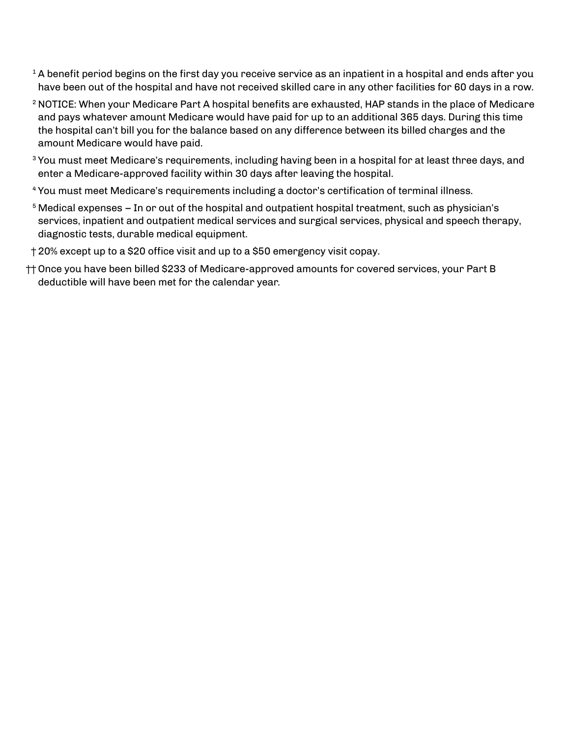- $1$  A benefit period begins on the first day you receive service as an inpatient in a hospital and ends after you have been out of the hospital and have not received skilled care in any other facilities for 60 days in a row.
- <sup>2</sup> NOTICE: When your Medicare Part A hospital benefits are exhausted, HAP stands in the place of Medicare and pays whatever amount Medicare would have paid for up to an additional 365 days. During this time the hospital can't bill you for the balance based on any difference between its billed charges and the amount Medicare would have paid.
- <sup>3</sup> You must meet Medicare's requirements, including having been in a hospital for at least three days, and enter a Medicare-approved facility within 30 days after leaving the hospital.
- <sup>4</sup> You must meet Medicare's requirements including a doctor's certification of terminal illness.
- $5$  Medical expenses In or out of the hospital and outpatient hospital treatment, such as physician's services, inpatient and outpatient medical services and surgical services, physical and speech therapy, diagnostic tests, durable medical equipment.
- †20% except up to a \$20 office visit and up to a \$50 emergency visit copay.
- †† Once you have been billed \$233 of Medicare-approved amounts for covered services, your Part B deductible will have been met for the calendar year.